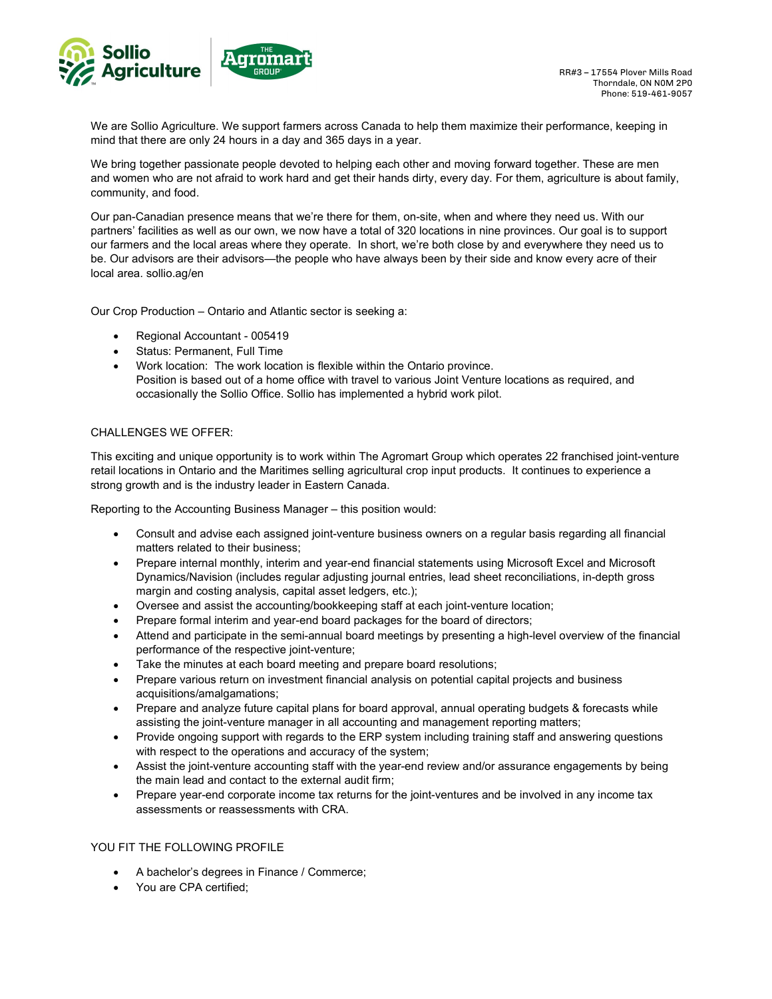

We are Sollio Agriculture. We support farmers across Canada to help them maximize their performance, keeping in mind that there are only 24 hours in a day and 365 days in a year.

We bring together passionate people devoted to helping each other and moving forward together. These are men and women who are not afraid to work hard and get their hands dirty, every day. For them, agriculture is about family, community, and food.

Our pan-Canadian presence means that we're there for them, on-site, when and where they need us. With our partners' facilities as well as our own, we now have a total of 320 locations in nine provinces. Our goal is to support our farmers and the local areas where they operate. In short, we're both close by and everywhere they need us to be. Our advisors are their advisors—the people who have always been by their side and know every acre of their local area. sollio.ag/en

Our Crop Production – Ontario and Atlantic sector is seeking a:

- Regional Accountant 005419
- Status: Permanent, Full Time
- Work location: The work location is flexible within the Ontario province. Position is based out of a home office with travel to various Joint Venture locations as required, and occasionally the Sollio Office. Sollio has implemented a hybrid work pilot.

## CHALLENGES WE OFFER:

This exciting and unique opportunity is to work within The Agromart Group which operates 22 franchised joint-venture retail locations in Ontario and the Maritimes selling agricultural crop input products. It continues to experience a strong growth and is the industry leader in Eastern Canada.

Reporting to the Accounting Business Manager – this position would:

- Consult and advise each assigned joint-venture business owners on a regular basis regarding all financial matters related to their business;
- Prepare internal monthly, interim and year-end financial statements using Microsoft Excel and Microsoft Dynamics/Navision (includes regular adjusting journal entries, lead sheet reconciliations, in-depth gross margin and costing analysis, capital asset ledgers, etc.);
- Oversee and assist the accounting/bookkeeping staff at each joint-venture location;
- Prepare formal interim and year-end board packages for the board of directors;
- Attend and participate in the semi-annual board meetings by presenting a high-level overview of the financial performance of the respective joint-venture;
- Take the minutes at each board meeting and prepare board resolutions;
- Prepare various return on investment financial analysis on potential capital projects and business acquisitions/amalgamations;
- Prepare and analyze future capital plans for board approval, annual operating budgets & forecasts while assisting the joint-venture manager in all accounting and management reporting matters;
- Provide ongoing support with regards to the ERP system including training staff and answering questions with respect to the operations and accuracy of the system;
- Assist the joint-venture accounting staff with the year-end review and/or assurance engagements by being the main lead and contact to the external audit firm;
- Prepare year-end corporate income tax returns for the joint-ventures and be involved in any income tax assessments or reassessments with CRA.

## YOU FIT THE FOLLOWING PROFILE

- A bachelor's degrees in Finance / Commerce;
- You are CPA certified: